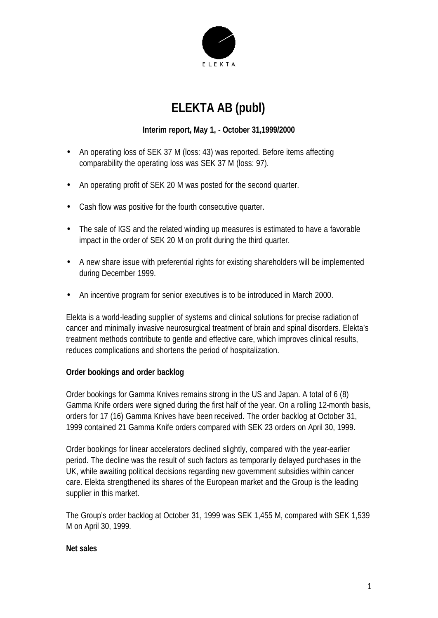

# **ELEKTA AB (publ)**

# **Interim report, May 1, - October 31,1999/2000**

- An operating loss of SEK 37 M (loss: 43) was reported. Before items affecting comparability the operating loss was SEK 37 M (loss: 97).
- An operating profit of SEK 20 M was posted for the second quarter.
- Cash flow was positive for the fourth consecutive quarter.
- The sale of IGS and the related winding up measures is estimated to have a favorable impact in the order of SEK 20 M on profit during the third quarter.
- A new share issue with preferential rights for existing shareholders will be implemented during December 1999.
- An incentive program for senior executives is to be introduced in March 2000.

Elekta is a world-leading supplier of systems and clinical solutions for precise radiation of cancer and minimally invasive neurosurgical treatment of brain and spinal disorders. Elekta's treatment methods contribute to gentle and effective care, which improves clinical results, reduces complications and shortens the period of hospitalization.

## **Order bookings and order backlog**

Order bookings for Gamma Knives remains strong in the US and Japan. A total of 6 (8) Gamma Knife orders were signed during the first half of the year. On a rolling 12-month basis, orders for 17 (16) Gamma Knives have been received. The order backlog at October 31, 1999 contained 21 Gamma Knife orders compared with SEK 23 orders on April 30, 1999.

Order bookings for linear accelerators declined slightly, compared with the year-earlier period. The decline was the result of such factors as temporarily delayed purchases in the UK, while awaiting political decisions regarding new government subsidies within cancer care. Elekta strengthened its shares of the European market and the Group is the leading supplier in this market.

The Group's order backlog at October 31, 1999 was SEK 1,455 M, compared with SEK 1,539 M on April 30, 1999.

## **Net sales**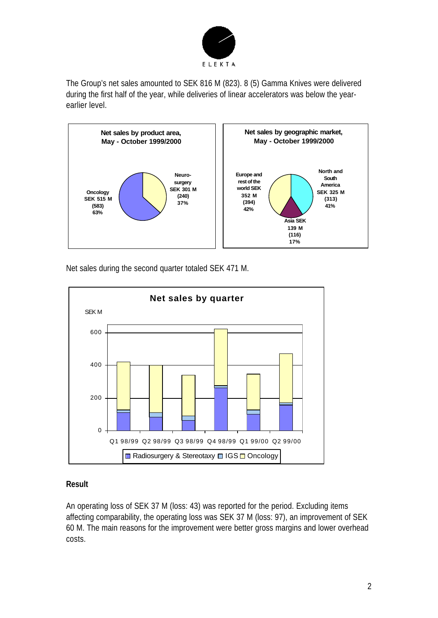

The Group's net sales amounted to SEK 816 M (823). 8 (5) Gamma Knives were delivered during the first half of the year, while deliveries of linear accelerators was below the yearearlier level.



Net sales during the second quarter totaled SEK 471 M.



## **Result**

An operating loss of SEK 37 M (loss: 43) was reported for the period. Excluding items affecting comparability, the operating loss was SEK 37 M (loss: 97), an improvement of SEK 60 M. The main reasons for the improvement were better gross margins and lower overhead costs.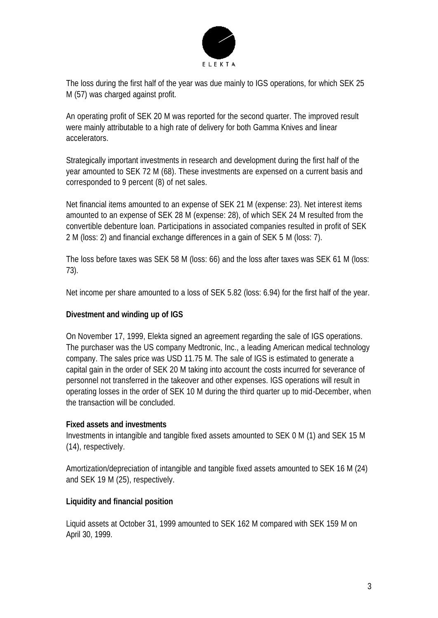

The loss during the first half of the year was due mainly to IGS operations, for which SEK 25 M (57) was charged against profit.

An operating profit of SEK 20 M was reported for the second quarter. The improved result were mainly attributable to a high rate of delivery for both Gamma Knives and linear accelerators.

Strategically important investments in research and development during the first half of the year amounted to SEK 72 M (68). These investments are expensed on a current basis and corresponded to 9 percent (8) of net sales.

Net financial items amounted to an expense of SEK 21 M (expense: 23). Net interest items amounted to an expense of SEK 28 M (expense: 28), of which SEK 24 M resulted from the convertible debenture loan. Participations in associated companies resulted in profit of SEK 2 M (loss: 2) and financial exchange differences in a gain of SEK 5 M (loss: 7).

The loss before taxes was SEK 58 M (loss: 66) and the loss after taxes was SEK 61 M (loss: 73).

Net income per share amounted to a loss of SEK 5.82 (loss: 6.94) for the first half of the year.

## **Divestment and winding up of IGS**

On November 17, 1999, Elekta signed an agreement regarding the sale of IGS operations. The purchaser was the US company Medtronic, Inc., a leading American medical technology company. The sales price was USD 11.75 M. The sale of IGS is estimated to generate a capital gain in the order of SEK 20 M taking into account the costs incurred for severance of personnel not transferred in the takeover and other expenses. IGS operations will result in operating losses in the order of SEK 10 M during the third quarter up to mid-December, when the transaction will be concluded.

#### **Fixed assets and investments**

Investments in intangible and tangible fixed assets amounted to SEK 0 M (1) and SEK 15 M (14), respectively.

Amortization/depreciation of intangible and tangible fixed assets amounted to SEK 16 M (24) and SEK 19 M (25), respectively.

## **Liquidity and financial position**

Liquid assets at October 31, 1999 amounted to SEK 162 M compared with SEK 159 M on April 30, 1999.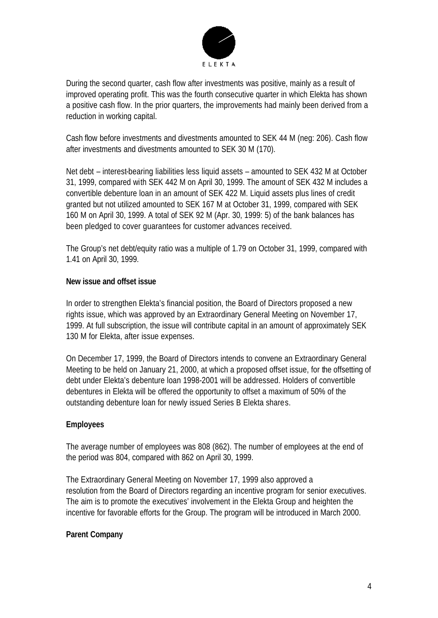

During the second quarter, cash flow after investments was positive, mainly as a result of improved operating profit. This was the fourth consecutive quarter in which Elekta has shown a positive cash flow. In the prior quarters, the improvements had mainly been derived from a reduction in working capital.

Cash flow before investments and divestments amounted to SEK 44 M (neg: 206). Cash flow after investments and divestments amounted to SEK 30 M (170).

Net debt – interest-bearing liabilities less liquid assets – amounted to SEK 432 M at October 31, 1999, compared with SEK 442 M on April 30, 1999. The amount of SEK 432 M includes a convertible debenture loan in an amount of SEK 422 M. Liquid assets plus lines of credit granted but not utilized amounted to SEK 167 M at October 31, 1999, compared with SEK 160 M on April 30, 1999. A total of SEK 92 M (Apr. 30, 1999: 5) of the bank balances has been pledged to cover guarantees for customer advances received.

The Group's net debt/equity ratio was a multiple of 1.79 on October 31, 1999, compared with 1.41 on April 30, 1999.

## **New issue and offset issue**

In order to strengthen Elekta's financial position, the Board of Directors proposed a new rights issue, which was approved by an Extraordinary General Meeting on November 17, 1999. At full subscription, the issue will contribute capital in an amount of approximately SEK 130 M for Elekta, after issue expenses.

On December 17, 1999, the Board of Directors intends to convene an Extraordinary General Meeting to be held on January 21, 2000, at which a proposed offset issue, for the offsetting of debt under Elekta's debenture loan 1998-2001 will be addressed. Holders of convertible debentures in Elekta will be offered the opportunity to offset a maximum of 50% of the outstanding debenture loan for newly issued Series B Elekta shares.

## **Employees**

The average number of employees was 808 (862). The number of employees at the end of the period was 804, compared with 862 on April 30, 1999.

The Extraordinary General Meeting on November 17, 1999 also approved a resolution from the Board of Directors regarding an incentive program for senior executives. The aim is to promote the executives' involvement in the Elekta Group and heighten the incentive for favorable efforts for the Group. The program will be introduced in March 2000.

## **Parent Company**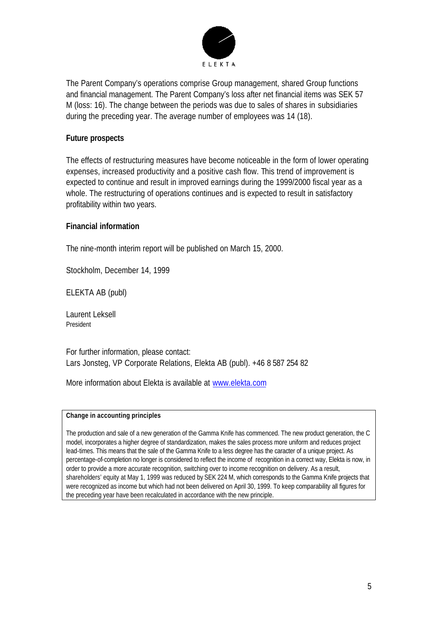

The Parent Company's operations comprise Group management, shared Group functions and financial management. The Parent Company's loss after net financial items was SEK 57 M (loss: 16). The change between the periods was due to sales of shares in subsidiaries during the preceding year. The average number of employees was 14 (18).

## **Future prospects**

The effects of restructuring measures have become noticeable in the form of lower operating expenses, increased productivity and a positive cash flow. This trend of improvement is expected to continue and result in improved earnings during the 1999/2000 fiscal year as a whole. The restructuring of operations continues and is expected to result in satisfactory profitability within two years.

#### **Financial information**

The nine-month interim report will be published on March 15, 2000.

Stockholm, December 14, 1999

ELEKTA AB (publ)

Laurent Leksell President

For further information, please contact: Lars Jonsteg, VP Corporate Relations, Elekta AB (publ). +46 8 587 254 82

More information about Elekta is available at www.elekta.com

#### **Change in accounting principles**

The production and sale of a new generation of the Gamma Knife has commenced. The new product generation, the C model, incorporates a higher degree of standardization, makes the sales process more uniform and reduces project lead-times. This means that the sale of the Gamma Knife to a less degree has the caracter of a unique project. As percentage-of-completion no longer is considered to reflect the income of recognition in a correct way, Elekta is now, in order to provide a more accurate recognition, switching over to income recognition on delivery. As a result, shareholders' equity at May 1, 1999 was reduced by SEK 224 M, which corresponds to the Gamma Knife projects that were recognized as income but which had not been delivered on April 30, 1999. To keep comparability all figures for the preceding year have been recalculated in accordance with the new principle.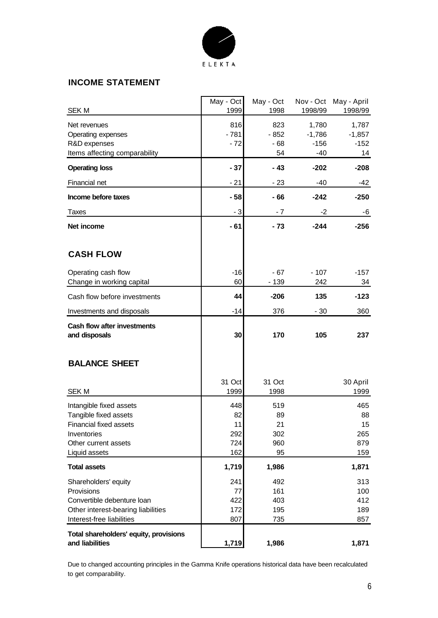

## **INCOME STATEMENT**

| <b>SEK M</b>                                                                                                                        | May - Oct<br>1999              | May - Oct<br>1998               | Nov - Oct<br>1998/99                 | May - April<br>1998/99            |
|-------------------------------------------------------------------------------------------------------------------------------------|--------------------------------|---------------------------------|--------------------------------------|-----------------------------------|
| Net revenues<br>Operating expenses<br>R&D expenses<br>Items affecting comparability                                                 | 816<br>$-781$<br>$-72$         | 823<br>$-852$<br>- 68<br>54     | 1,780<br>$-1,786$<br>$-156$<br>$-40$ | 1,787<br>$-1,857$<br>$-152$<br>14 |
| <b>Operating loss</b>                                                                                                               | $-37$                          | $-43$                           | $-202$                               | $-208$                            |
| Financial net                                                                                                                       | $-21$                          | $-23$                           | $-40$                                | $-42$                             |
| Income before taxes                                                                                                                 | $-58$                          | $-66$                           | $-242$                               | $-250$                            |
|                                                                                                                                     |                                |                                 |                                      |                                   |
| Taxes                                                                                                                               | $-3$                           | - 7                             | -2                                   | -6                                |
| Net income                                                                                                                          | $-61$                          | $-73$                           | $-244$                               | $-256$                            |
| <b>CASH FLOW</b>                                                                                                                    |                                |                                 |                                      |                                   |
| Operating cash flow                                                                                                                 | $-16$                          | $-67$                           | $-107$                               | $-157$                            |
| Change in working capital                                                                                                           | 60                             | $-139$                          | 242                                  | 34                                |
| Cash flow before investments                                                                                                        | 44                             | $-206$                          | 135                                  | $-123$                            |
| Investments and disposals                                                                                                           | -14                            | 376                             | $-30$                                | 360                               |
| Cash flow after investments<br>and disposals                                                                                        | 30                             | 170                             | 105                                  | 237                               |
| <b>BALANCE SHEET</b>                                                                                                                |                                |                                 |                                      |                                   |
|                                                                                                                                     | 31 Oct                         | 31 Oct                          |                                      | 30 April                          |
| <b>SEK M</b>                                                                                                                        | 1999                           | 1998                            |                                      | 1999                              |
| Intangible fixed assets                                                                                                             | 448                            | 519                             |                                      | 465                               |
| Tangible fixed assets<br>Financial fixed assets                                                                                     | 82<br>11                       | 89<br>21                        |                                      | 88<br>15                          |
| Inventories                                                                                                                         | 292                            | 302                             |                                      | 265                               |
| Other current assets                                                                                                                | 724                            | 960                             |                                      | 879                               |
| Liquid assets                                                                                                                       | 162                            | 95                              |                                      | 159                               |
| <b>Total assets</b>                                                                                                                 | 1,719                          | 1,986                           |                                      | 1,871                             |
| Shareholders' equity<br>Provisions<br>Convertible debenture loan<br>Other interest-bearing liabilities<br>Interest-free liabilities | 241<br>77<br>422<br>172<br>807 | 492<br>161<br>403<br>195<br>735 |                                      | 313<br>100<br>412<br>189<br>857   |
| Total shareholders' equity, provisions<br>and liabilities                                                                           | 1,719                          | 1,986                           |                                      | 1,871                             |

Due to changed accounting principles in the Gamma Knife operations historical data have been recalculated to get comparability.